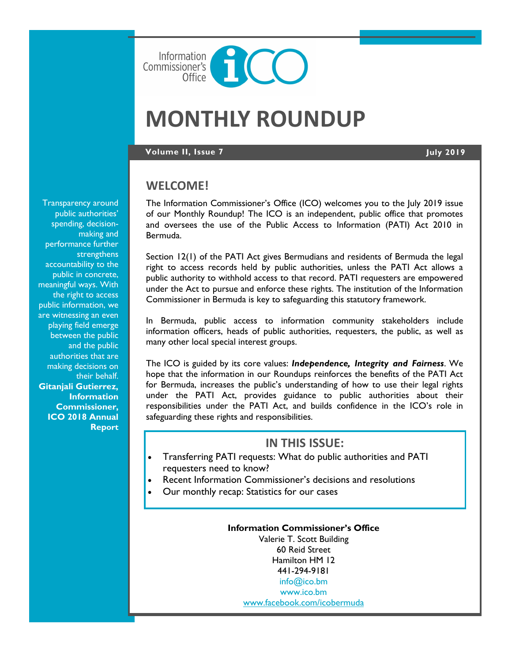

# **MONTHLY ROUNDUP**

#### **Volume II, Issue 7 July 2019**

## **WELCOME!**

The Information Commissioner's Office (ICO) welcomes you to the July 2019 issue of our Monthly Roundup! The ICO is an independent, public office that promotes and oversees the use of the Public Access to Information (PATI) Act 2010 in Bermuda.

Section 12(1) of the PATI Act gives Bermudians and residents of Bermuda the legal right to access records held by public authorities, unless the PATI Act allows a public authority to withhold access to that record. PATI requesters are empowered under the Act to pursue and enforce these rights. The institution of the Information Commissioner in Bermuda is key to safeguarding this statutory framework.

In Bermuda, public access to information community stakeholders include information officers, heads of public authorities, requesters, the public, as well as many other local special interest groups.

The ICO is guided by its core values: *Independence, Integrity and Fairness*. We hope that the information in our Roundups reinforces the benefits of the PATI Act for Bermuda, increases the public's understanding of how to use their legal rights under the PATI Act, provides guidance to public authorities about their responsibilities under the PATI Act, and builds confidence in the ICO's role in safeguarding these rights and responsibilities.

# **IN THIS ISSUE:**

- Transferring PATI requests: What do public authorities and PATI requesters need to know?
- Recent Information Commissioner's decisions and resolutions
- Our monthly recap: Statistics for our cases

**Information Commissioner's Office** Valerie T. Scott Building 60 Reid Street Hamilton HM 12 441-294-9181 [info@ico.bm](mailto:info@ico.bm) [www.ico.bm](http://www.ico.bm) [www.facebook.com/icobermuda](https://www.facebook.com/icobermuda/)

Transparency around public authorities' spending, decisionmaking and performance further strengthens accountability to the public in concrete, meaningful ways. With the right to access public information, we are witnessing an even playing field emerge between the public and the public authorities that are making decisions on their behalf. **Gitanjali Gutierrez, Information Commissioner, ICO 2018 Annual Report**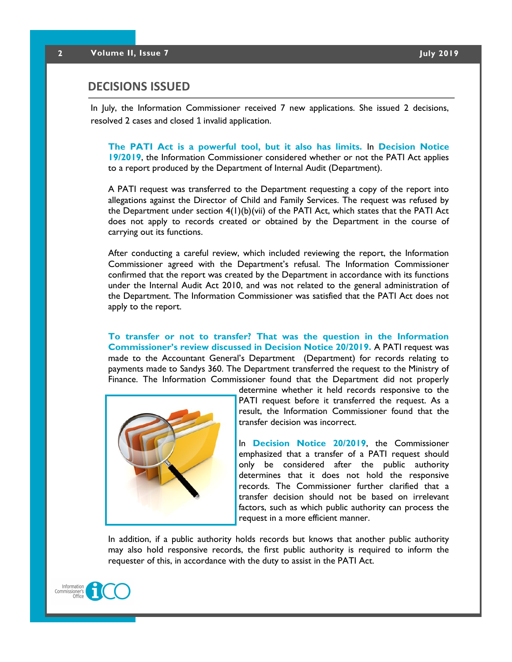## **DECISIONS ISSUED**

In July, the Information Commissioner received 7 new applications. She issued 2 decisions, resolved 2 cases and closed 1 invalid application.

**The PATI Act is a powerful tool, but it also has limits.** In **Decision Notice 19/2019**, the Information Commissioner considered whether or not the PATI Act applies to a report produced by the Department of Internal Audit (Department).

A PATI request was transferred to the Department requesting a copy of the report into allegations against the Director of Child and Family Services. The request was refused by the Department under section  $4(1)(b)(vi)$  of the PATI Act, which states that the PATI Act does not apply to records created or obtained by the Department in the course of carrying out its functions.

After conducting a careful review, which included reviewing the report, the Information Commissioner agreed with the Department's refusal. The Information Commissioner confirmed that the report was created by the Department in accordance with its functions under the Internal Audit Act 2010, and was not related to the general administration of the Department. The Information Commissioner was satisfied that the PATI Act does not apply to the report.

**To transfer or not to transfer? That was the question in the Information Commissioner's review discussed in Decision Notice 20/2019.** A PATI request was made to the Accountant General's Department (Department) for records relating to payments made to Sandys 360. The Department transferred the request to the Ministry of Finance. The Information Commissioner found that the Department did not properly



determine whether it held records responsive to the PATI request before it transferred the request. As a result, the Information Commissioner found that the transfer decision was incorrect.

In **Decision Notice 20/2019**, the Commissioner emphasized that a transfer of a PATI request should only be considered after the public authority determines that it does not hold the responsive records. The Commissioner further clarified that a transfer decision should not be based on irrelevant factors, such as which public authority can process the request in a more efficient manner.

In addition, if a public authority holds records but knows that another public authority may also hold responsive records, the first public authority is required to inform the requester of this, in accordance with the duty to assist in the PATI Act.

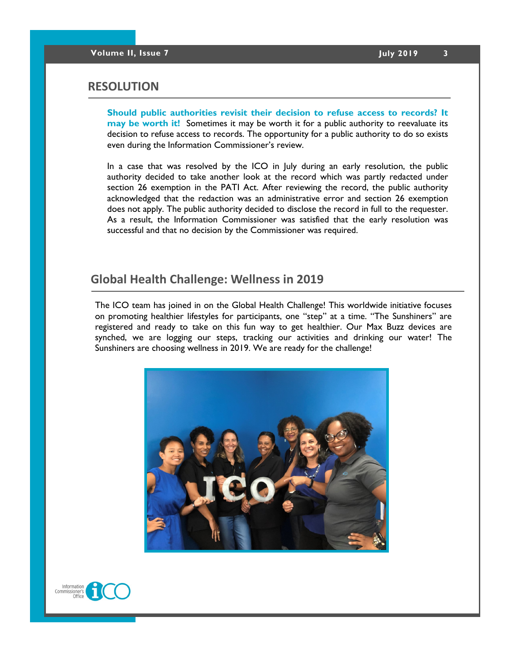### **RESOLUTION**

**Should public authorities revisit their decision to refuse access to records? It may be worth it!** Sometimes it may be worth it for a public authority to reevaluate its decision to refuse access to records. The opportunity for a public authority to do so exists even during the Information Commissioner's review.

In a case that was resolved by the ICO in July during an early resolution, the public authority decided to take another look at the record which was partly redacted under section 26 exemption in the PATI Act. After reviewing the record, the public authority acknowledged that the redaction was an administrative error and section 26 exemption does not apply. The public authority decided to disclose the record in full to the requester. As a result, the Information Commissioner was satisfied that the early resolution was successful and that no decision by the Commissioner was required.

# **Global Health Challenge: Wellness in 2019**

The ICO team has joined in on the Global Health Challenge! This worldwide initiative focuses on promoting healthier lifestyles for participants, one "step" at a time. "The Sunshiners" are registered and ready to take on this fun way to get healthier. Our Max Buzz devices are synched, we are logging our steps, tracking our activities and drinking our water! The Sunshiners are choosing wellness in 2019. We are ready for the challenge!



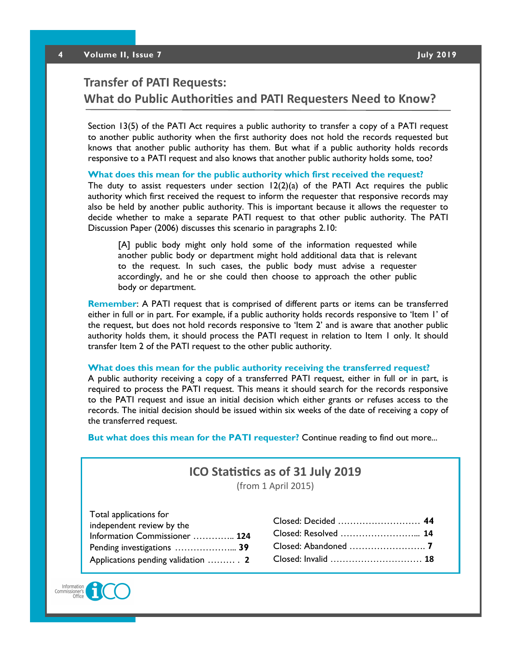# **Transfer of PATI Requests: What do Public Authorities and PATI Requesters Need to Know?**

Section 13(5) of the PATI Act requires a public authority to transfer a copy of a PATI request to another public authority when the first authority does not hold the records requested but knows that another public authority has them. But what if a public authority holds records responsive to a PATI request and also knows that another public authority holds some, too?

**What does this mean for the public authority which first received the request?**

The duty to assist requesters under section  $12(2)(a)$  of the PATI Act requires the public authority which first received the request to inform the requester that responsive records may also be held by another public authority. This is important because it allows the requester to decide whether to make a separate PATI request to that other public authority. The PATI Discussion Paper (2006) discusses this scenario in paragraphs 2.10:

[A] public body might only hold some of the information requested while another public body or department might hold additional data that is relevant to the request. In such cases, the public body must advise a requester accordingly, and he or she could then choose to approach the other public body or department.

**Remember**: A PATI request that is comprised of different parts or items can be transferred either in full or in part. For example, if a public authority holds records responsive to 'Item 1' of the request, but does not hold records responsive to 'Item 2' and is aware that another public authority holds them, it should process the PATI request in relation to Item 1 only. It should transfer Item 2 of the PATI request to the other public authority.

#### **What does this mean for the public authority receiving the transferred request?**

A public authority receiving a copy of a transferred PATI request, either in full or in part, is required to process the PATI request. This means it should search for the records responsive to the PATI request and issue an initial decision which either grants or refuses access to the records. The initial decision should be issued within six weeks of the date of receiving a copy of the transferred request.

**But what does this mean for the PATI requester?** Continue reading to find out more...

# **ICO Statistics as of 31 July 2019**

(from 1 April 2015)

| Total applications for             |  |
|------------------------------------|--|
| independent review by the          |  |
| Information Commissioner  124      |  |
| Pending investigations  39         |  |
| Applications pending validation  2 |  |

| Closed: Decided  44  |
|----------------------|
| Closed: Resolved  14 |
|                      |
| Closed: Invalid  18  |
|                      |